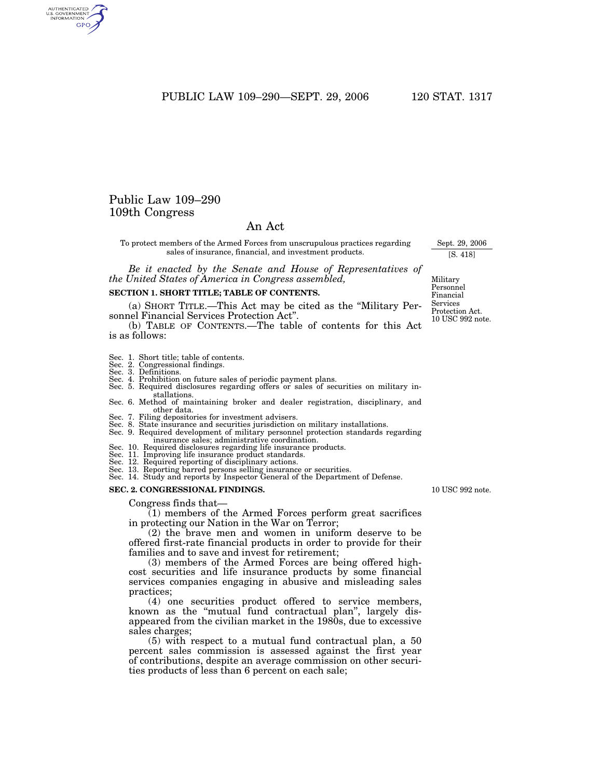PUBLIC LAW 109-290-SEPT. 29, 2006 120 STAT. 1317

# Public Law 109–290 109th Congress

### An Act

To protect members of the Armed Forces from unscrupulous practices regarding sales of insurance, financial, and investment products.

*Be it enacted by the Senate and House of Representatives of the United States of America in Congress assembled,*

#### **SECTION 1. SHORT TITLE; TABLE OF CONTENTS.**

(a) SHORT TITLE.—This Act may be cited as the ''Military Personnel Financial Services Protection Act''.

(b) TABLE OF CONTENTS.—The table of contents for this Act is as follows:

- Sec. 1. Short title; table of contents.
- Sec. 2. Congressional findings. Sec. 3. Definitions.
- 
- 
- Sec. 4. Prohibition on future sales of periodic payment plans. Sec. 5. Required disclosures regarding offers or sales of securities on military installations.
- Sec. 6. Method of maintaining broker and dealer registration, disciplinary, and other data.
- Sec. 7. Filing depositories for investment advisers.
- 
- Sec. 8. State insurance and securities jurisdiction on military installations. Sec. 9. Required development of military personnel protection standards regarding insurance sales; administrative coordination.
- Sec. 10. Required disclosures regarding life insurance products. Sec. 11. Improving life insurance product standards. Sec. 12. Required reporting of disciplinary actions.
- 
- 
- Sec. 13. Reporting barred persons selling insurance or securities. Sec. 14. Study and reports by Inspector General of the Department of Defense.

#### **SEC. 2. CONGRESSIONAL FINDINGS.**

Congress finds that—

 $(1)$  members of the Armed Forces perform great sacrifices in protecting our Nation in the War on Terror;

(2) the brave men and women in uniform deserve to be offered first-rate financial products in order to provide for their families and to save and invest for retirement;

(3) members of the Armed Forces are being offered highcost securities and life insurance products by some financial services companies engaging in abusive and misleading sales practices;

(4) one securities product offered to service members, known as the ''mutual fund contractual plan'', largely disappeared from the civilian market in the 1980s, due to excessive sales charges;

(5) with respect to a mutual fund contractual plan, a 50 percent sales commission is assessed against the first year of contributions, despite an average commission on other securities products of less than 6 percent on each sale;

10 USC 992 note.

Military Personnel Financial Services Protection Act. 10 USC 992 note.

Sept. 29, 2006 [S. 418]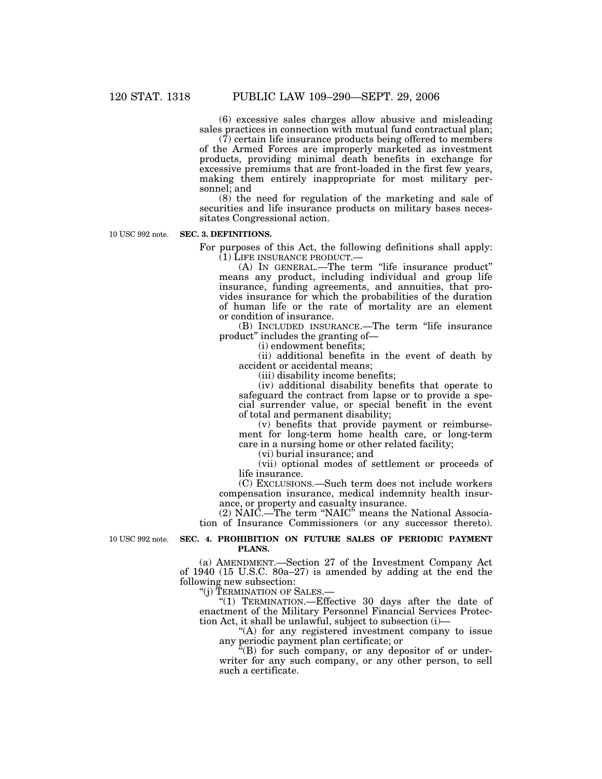(6) excessive sales charges allow abusive and misleading sales practices in connection with mutual fund contractual plan;

 $(7)$  certain life insurance products being offered to members of the Armed Forces are improperly marketed as investment products, providing minimal death benefits in exchange for excessive premiums that are front-loaded in the first few years, making them entirely inappropriate for most military personnel; and

(8) the need for regulation of the marketing and sale of securities and life insurance products on military bases necessitates Congressional action.

10 USC 992 note.

### **SEC. 3. DEFINITIONS.**

For purposes of this Act, the following definitions shall apply:<br>(1) LIFE INSURANCE PRODUCT.—

 $(A)$  In GENERAL.—The term "life insurance product" means any product, including individual and group life insurance, funding agreements, and annuities, that provides insurance for which the probabilities of the duration of human life or the rate of mortality are an element or condition of insurance.

(B) INCLUDED INSURANCE.—The term ''life insurance product'' includes the granting of—

(i) endowment benefits;

(ii) additional benefits in the event of death by accident or accidental means;

(iii) disability income benefits;

(iv) additional disability benefits that operate to safeguard the contract from lapse or to provide a special surrender value, or special benefit in the event of total and permanent disability;

(v) benefits that provide payment or reimbursement for long-term home health care, or long-term care in a nursing home or other related facility;

(vi) burial insurance; and

(vii) optional modes of settlement or proceeds of life insurance.

(C) EXCLUSIONS.—Such term does not include workers compensation insurance, medical indemnity health insurance, or property and casualty insurance.

(2) NAIC.—The term ''NAIC'' means the National Association of Insurance Commissioners (or any successor thereto).

10 USC 992 note.

### **SEC. 4. PROHIBITION ON FUTURE SALES OF PERIODIC PAYMENT PLANS.**

(a) AMENDMENT.—Section 27 of the Investment Company Act of 1940 (15 U.S.C. 80a–27) is amended by adding at the end the following new subsection:

''(j) TERMINATION OF SALES.—

''(1) TERMINATION.—Effective 30 days after the date of enactment of the Military Personnel Financial Services Protection Act, it shall be unlawful, subject to subsection (i)—

''(A) for any registered investment company to issue any periodic payment plan certificate; or

 $\mathbf{H}(\mathbf{B})$  for such company, or any depositor of or underwriter for any such company, or any other person, to sell such a certificate.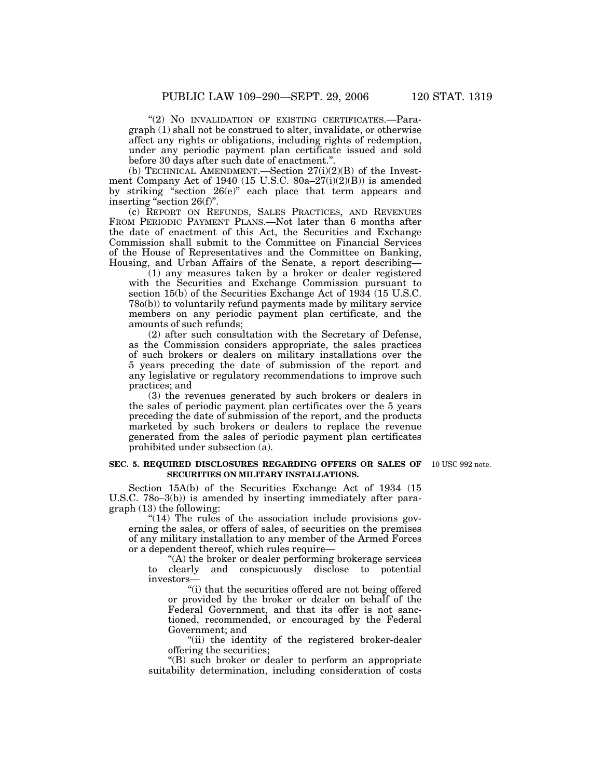"(2) NO INVALIDATION OF EXISTING CERTIFICATES.—Paragraph (1) shall not be construed to alter, invalidate, or otherwise affect any rights or obligations, including rights of redemption, under any periodic payment plan certificate issued and sold before 30 days after such date of enactment."

(b) TECHNICAL AMENDMENT.—Section 27(i)(2)(B) of the Investment Company Act of 1940 (15 U.S.C. 80a–27(i)(2)(B)) is amended by striking ''section 26(e)'' each place that term appears and inserting "section 26(f)"

(c) REPORT ON REFUNDS, SALES PRACTICES, AND REVENUES FROM PERIODIC PAYMENT PLANS.—Not later than 6 months after the date of enactment of this Act, the Securities and Exchange Commission shall submit to the Committee on Financial Services of the House of Representatives and the Committee on Banking, Housing, and Urban Affairs of the Senate, a report describing—

(1) any measures taken by a broker or dealer registered with the Securities and Exchange Commission pursuant to section 15(b) of the Securities Exchange Act of 1934 (15 U.S.C. 78o(b)) to voluntarily refund payments made by military service members on any periodic payment plan certificate, and the amounts of such refunds;

(2) after such consultation with the Secretary of Defense, as the Commission considers appropriate, the sales practices of such brokers or dealers on military installations over the 5 years preceding the date of submission of the report and any legislative or regulatory recommendations to improve such practices; and

(3) the revenues generated by such brokers or dealers in the sales of periodic payment plan certificates over the 5 years preceding the date of submission of the report, and the products marketed by such brokers or dealers to replace the revenue generated from the sales of periodic payment plan certificates prohibited under subsection (a).

#### **SEC. 5. REQUIRED DISCLOSURES REGARDING OFFERS OR SALES OF** 10 USC 992 note. **SECURITIES ON MILITARY INSTALLATIONS.**

Section 15A(b) of the Securities Exchange Act of 1934 (15 U.S.C. 78o–3(b)) is amended by inserting immediately after paragraph (13) the following:

"(14) The rules of the association include provisions governing the sales, or offers of sales, of securities on the premises of any military installation to any member of the Armed Forces or a dependent thereof, which rules require—

''(A) the broker or dealer performing brokerage services to clearly and conspicuously disclose to potential investors—

''(i) that the securities offered are not being offered or provided by the broker or dealer on behalf of the Federal Government, and that its offer is not sanctioned, recommended, or encouraged by the Federal Government; and

"(ii) the identity of the registered broker-dealer offering the securities;

''(B) such broker or dealer to perform an appropriate suitability determination, including consideration of costs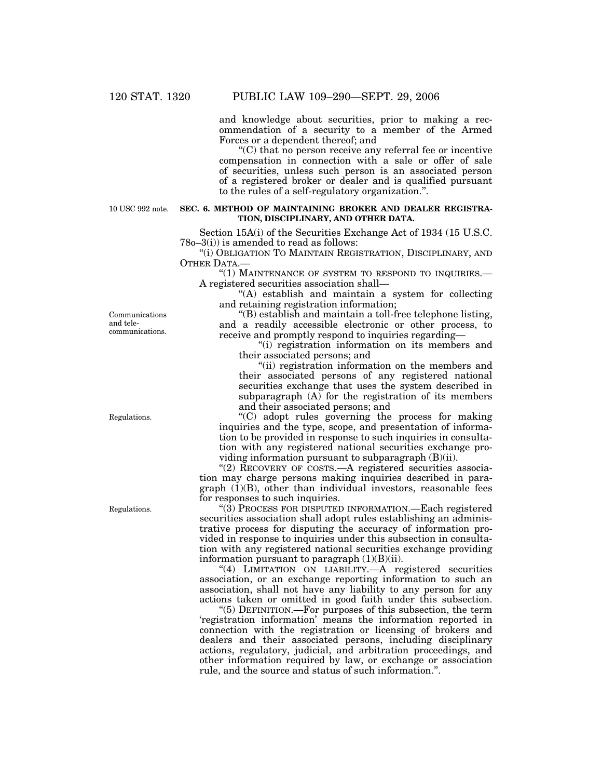and knowledge about securities, prior to making a recommendation of a security to a member of the Armed Forces or a dependent thereof; and

''(C) that no person receive any referral fee or incentive compensation in connection with a sale or offer of sale of securities, unless such person is an associated person of a registered broker or dealer and is qualified pursuant to the rules of a self-regulatory organization.''.

10 USC 992 note.

### **SEC. 6. METHOD OF MAINTAINING BROKER AND DEALER REGISTRA-TION, DISCIPLINARY, AND OTHER DATA.**

Section 15A(i) of the Securities Exchange Act of 1934 (15 U.S.C. 78o–3(i)) is amended to read as follows:

''(i) OBLIGATION TO MAINTAIN REGISTRATION, DISCIPLINARY, AND OTHER DATA.—

"(1) MAINTENANCE OF SYSTEM TO RESPOND TO INQUIRIES.-A registered securities association shall—

''(A) establish and maintain a system for collecting and retaining registration information;

''(B) establish and maintain a toll-free telephone listing, and a readily accessible electronic or other process, to receive and promptly respond to inquiries regarding—

''(i) registration information on its members and their associated persons; and

''(ii) registration information on the members and their associated persons of any registered national securities exchange that uses the system described in subparagraph (A) for the registration of its members and their associated persons; and

''(C) adopt rules governing the process for making inquiries and the type, scope, and presentation of information to be provided in response to such inquiries in consultation with any registered national securities exchange providing information pursuant to subparagraph (B)(ii).

"(2) RECOVERY OF COSTS.—A registered securities association may charge persons making inquiries described in para $graph (1)(B)$ , other than individual investors, reasonable fees for responses to such inquiries.

" $(3)$  Process for disputed INFORMATION.—Each registered securities association shall adopt rules establishing an administrative process for disputing the accuracy of information provided in response to inquiries under this subsection in consultation with any registered national securities exchange providing information pursuant to paragraph  $(1)(B)(ii)$ .

"(4) LIMITATION ON LIABILITY.—A registered securities association, or an exchange reporting information to such an association, shall not have any liability to any person for any actions taken or omitted in good faith under this subsection.

''(5) DEFINITION.—For purposes of this subsection, the term 'registration information' means the information reported in connection with the registration or licensing of brokers and dealers and their associated persons, including disciplinary actions, regulatory, judicial, and arbitration proceedings, and other information required by law, or exchange or association rule, and the source and status of such information.''.

Communications and telecommunications.

Regulations.

Regulations.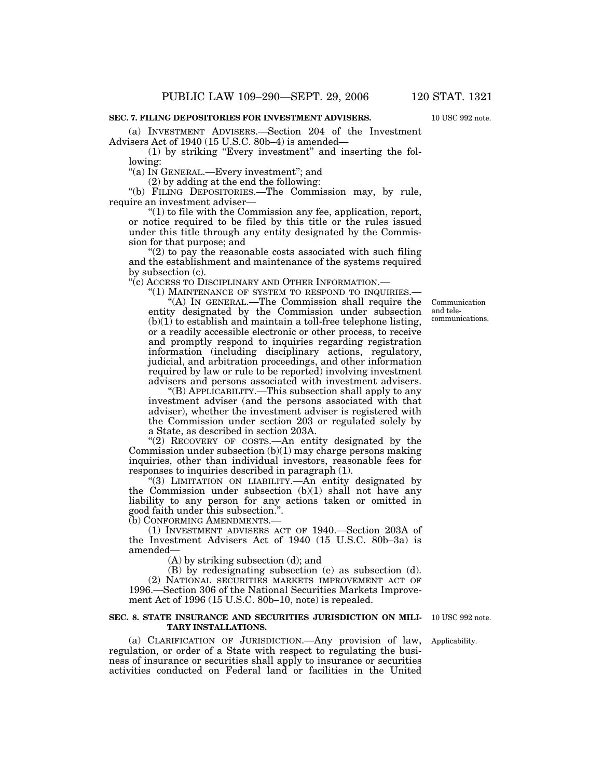#### **SEC. 7. FILING DEPOSITORIES FOR INVESTMENT ADVISERS.**

(a) INVESTMENT ADVISERS.—Section 204 of the Investment Advisers Act of 1940 (15 U.S.C. 80b–4) is amended—

(1) by striking ''Every investment'' and inserting the following:

''(a) IN GENERAL.—Every investment''; and

(2) by adding at the end the following:

''(b) FILING DEPOSITORIES.—The Commission may, by rule, require an investment adviser—

 $(1)$  to file with the Commission any fee, application, report, or notice required to be filed by this title or the rules issued under this title through any entity designated by the Commission for that purpose; and

 $(2)$  to pay the reasonable costs associated with such filing and the establishment and maintenance of the systems required by subsection (c).

''(c) ACCESS TO DISCIPLINARY AND OTHER INFORMATION.—

"(1) MAINTENANCE OF SYSTEM TO RESPOND TO INQUIRIES.-

''(A) IN GENERAL.—The Commission shall require the entity designated by the Commission under subsection  $(b)(1)$  to establish and maintain a toll-free telephone listing, or a readily accessible electronic or other process, to receive and promptly respond to inquiries regarding registration information (including disciplinary actions, regulatory, judicial, and arbitration proceedings, and other information required by law or rule to be reported) involving investment advisers and persons associated with investment advisers.

''(B) APPLICABILITY.—This subsection shall apply to any investment adviser (and the persons associated with that adviser), whether the investment adviser is registered with the Commission under section 203 or regulated solely by a State, as described in section 203A.

''(2) RECOVERY OF COSTS.—An entity designated by the Commission under subsection  $(b)(1)$  may charge persons making inquiries, other than individual investors, reasonable fees for responses to inquiries described in paragraph (1).

''(3) LIMITATION ON LIABILITY.—An entity designated by the Commission under subsection (b)(1) shall not have any liability to any person for any actions taken or omitted in good faith under this subsection.''.

(b) CONFORMING AMENDMENTS.—

(1) INVESTMENT ADVISERS ACT OF 1940.—Section 203A of the Investment Advisers Act of 1940 (15 U.S.C. 80b–3a) is amended—

(A) by striking subsection (d); and

(B) by redesignating subsection (e) as subsection (d). (2) NATIONAL SECURITIES MARKETS IMPROVEMENT ACT OF 1996.—Section 306 of the National Securities Markets Improvement Act of 1996 (15 U.S.C. 80b–10, note) is repealed.

#### **SEC. 8. STATE INSURANCE AND SECURITIES JURISDICTION ON MILI-**10 USC 992 note. **TARY INSTALLATIONS.**

(a) CLARIFICATION OF JURISDICTION.—Any provision of law, regulation, or order of a State with respect to regulating the business of insurance or securities shall apply to insurance or securities activities conducted on Federal land or facilities in the United

Applicability.

Communication and telecommunications.

10 USC 992 note.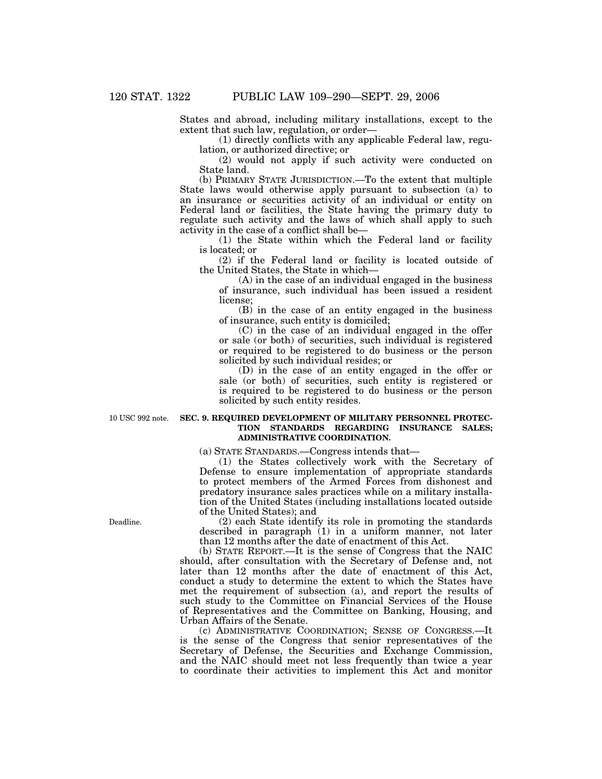States and abroad, including military installations, except to the extent that such law, regulation, or order—

(1) directly conflicts with any applicable Federal law, regulation, or authorized directive; or

(2) would not apply if such activity were conducted on State land.

(b) PRIMARY STATE JURISDICTION.—To the extent that multiple State laws would otherwise apply pursuant to subsection (a) to an insurance or securities activity of an individual or entity on Federal land or facilities, the State having the primary duty to regulate such activity and the laws of which shall apply to such activity in the case of a conflict shall be—

(1) the State within which the Federal land or facility is located; or

(2) if the Federal land or facility is located outside of the United States, the State in which—

(A) in the case of an individual engaged in the business of insurance, such individual has been issued a resident license;

(B) in the case of an entity engaged in the business of insurance, such entity is domiciled;

(C) in the case of an individual engaged in the offer or sale (or both) of securities, such individual is registered or required to be registered to do business or the person solicited by such individual resides; or

(D) in the case of an entity engaged in the offer or sale (or both) of securities, such entity is registered or is required to be registered to do business or the person solicited by such entity resides.

10 USC 992 note.

#### **SEC. 9. REQUIRED DEVELOPMENT OF MILITARY PERSONNEL PROTEC-TION STANDARDS REGARDING INSURANCE SALES; ADMINISTRATIVE COORDINATION.**

(a) STATE STANDARDS.—Congress intends that—

(1) the States collectively work with the Secretary of Defense to ensure implementation of appropriate standards to protect members of the Armed Forces from dishonest and predatory insurance sales practices while on a military installation of the United States (including installations located outside of the United States); and

(2) each State identify its role in promoting the standards described in paragraph (1) in a uniform manner, not later than 12 months after the date of enactment of this Act.

(b) STATE REPORT.—It is the sense of Congress that the NAIC should, after consultation with the Secretary of Defense and, not later than 12 months after the date of enactment of this Act, conduct a study to determine the extent to which the States have met the requirement of subsection (a), and report the results of such study to the Committee on Financial Services of the House of Representatives and the Committee on Banking, Housing, and Urban Affairs of the Senate.

(c) ADMINISTRATIVE COORDINATION; SENSE OF CONGRESS.—It is the sense of the Congress that senior representatives of the Secretary of Defense, the Securities and Exchange Commission, and the NAIC should meet not less frequently than twice a year to coordinate their activities to implement this Act and monitor

Deadline.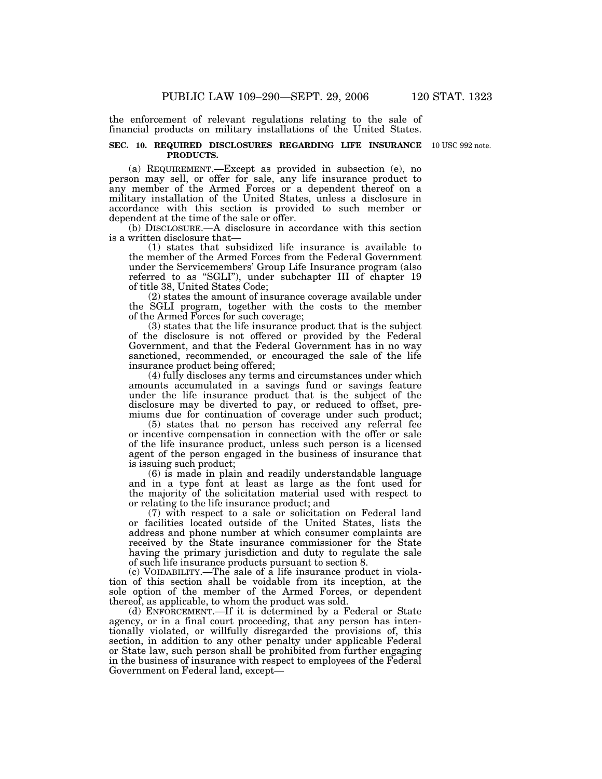the enforcement of relevant regulations relating to the sale of financial products on military installations of the United States.

#### **SEC. 10. REQUIRED DISCLOSURES REGARDING LIFE INSURANCE** 10 USC 992 note. **PRODUCTS.**

(a) REQUIREMENT.—Except as provided in subsection (e), no person may sell, or offer for sale, any life insurance product to any member of the Armed Forces or a dependent thereof on a military installation of the United States, unless a disclosure in accordance with this section is provided to such member or dependent at the time of the sale or offer.

(b) DISCLOSURE.—A disclosure in accordance with this section is a written disclosure that—

(1) states that subsidized life insurance is available to the member of the Armed Forces from the Federal Government under the Servicemembers' Group Life Insurance program (also referred to as "SGLI"), under subchapter III of chapter 19 of title 38, United States Code;

(2) states the amount of insurance coverage available under the SGLI program, together with the costs to the member of the Armed Forces for such coverage;

(3) states that the life insurance product that is the subject of the disclosure is not offered or provided by the Federal Government, and that the Federal Government has in no way sanctioned, recommended, or encouraged the sale of the life insurance product being offered;

(4) fully discloses any terms and circumstances under which amounts accumulated in a savings fund or savings feature under the life insurance product that is the subject of the disclosure may be diverted to pay, or reduced to offset, premiums due for continuation of coverage under such product;

(5) states that no person has received any referral fee or incentive compensation in connection with the offer or sale of the life insurance product, unless such person is a licensed agent of the person engaged in the business of insurance that is issuing such product;

(6) is made in plain and readily understandable language and in a type font at least as large as the font used for the majority of the solicitation material used with respect to or relating to the life insurance product; and

(7) with respect to a sale or solicitation on Federal land or facilities located outside of the United States, lists the address and phone number at which consumer complaints are received by the State insurance commissioner for the State having the primary jurisdiction and duty to regulate the sale of such life insurance products pursuant to section 8.

(c) VOIDABILITY.—The sale of a life insurance product in violation of this section shall be voidable from its inception, at the sole option of the member of the Armed Forces, or dependent thereof, as applicable, to whom the product was sold.

(d) ENFORCEMENT.—If it is determined by a Federal or State agency, or in a final court proceeding, that any person has intentionally violated, or willfully disregarded the provisions of, this section, in addition to any other penalty under applicable Federal or State law, such person shall be prohibited from further engaging in the business of insurance with respect to employees of the Federal Government on Federal land, except—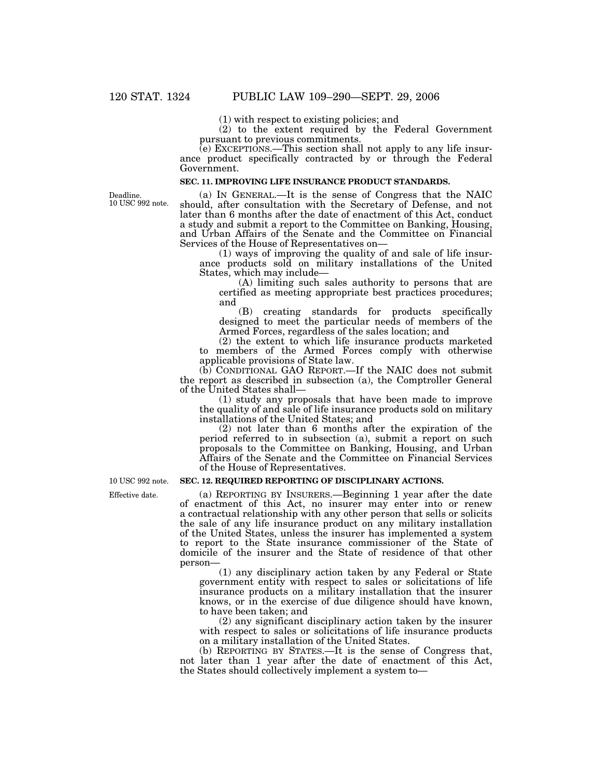(1) with respect to existing policies; and

(2) to the extent required by the Federal Government pursuant to previous commitments.

(e) EXCEPTIONS.—This section shall not apply to any life insurance product specifically contracted by or through the Federal Government.

#### **SEC. 11. IMPROVING LIFE INSURANCE PRODUCT STANDARDS.**

Deadline. 10 USC 992 note.

(a) IN GENERAL.—It is the sense of Congress that the NAIC should, after consultation with the Secretary of Defense, and not later than 6 months after the date of enactment of this Act, conduct a study and submit a report to the Committee on Banking, Housing, and Urban Affairs of the Senate and the Committee on Financial Services of the House of Representatives on—

(1) ways of improving the quality of and sale of life insurance products sold on military installations of the United States, which may include—

(A) limiting such sales authority to persons that are certified as meeting appropriate best practices procedures; and

(B) creating standards for products specifically designed to meet the particular needs of members of the Armed Forces, regardless of the sales location; and

(2) the extent to which life insurance products marketed to members of the Armed Forces comply with otherwise applicable provisions of State law.

(b) CONDITIONAL GAO REPORT.—If the NAIC does not submit the report as described in subsection (a), the Comptroller General of the United States shall—

(1) study any proposals that have been made to improve the quality of and sale of life insurance products sold on military installations of the United States; and

(2) not later than 6 months after the expiration of the period referred to in subsection (a), submit a report on such proposals to the Committee on Banking, Housing, and Urban Affairs of the Senate and the Committee on Financial Services of the House of Representatives.

10 USC 992 note.

Effective date.

## **SEC. 12. REQUIRED REPORTING OF DISCIPLINARY ACTIONS.**

(a) REPORTING BY INSURERS.—Beginning 1 year after the date of enactment of this Act, no insurer may enter into or renew a contractual relationship with any other person that sells or solicits the sale of any life insurance product on any military installation of the United States, unless the insurer has implemented a system to report to the State insurance commissioner of the State of domicile of the insurer and the State of residence of that other person—

(1) any disciplinary action taken by any Federal or State government entity with respect to sales or solicitations of life insurance products on a military installation that the insurer knows, or in the exercise of due diligence should have known, to have been taken; and

(2) any significant disciplinary action taken by the insurer with respect to sales or solicitations of life insurance products on a military installation of the United States.

(b) REPORTING BY STATES.—It is the sense of Congress that, not later than 1 year after the date of enactment of this Act, the States should collectively implement a system to—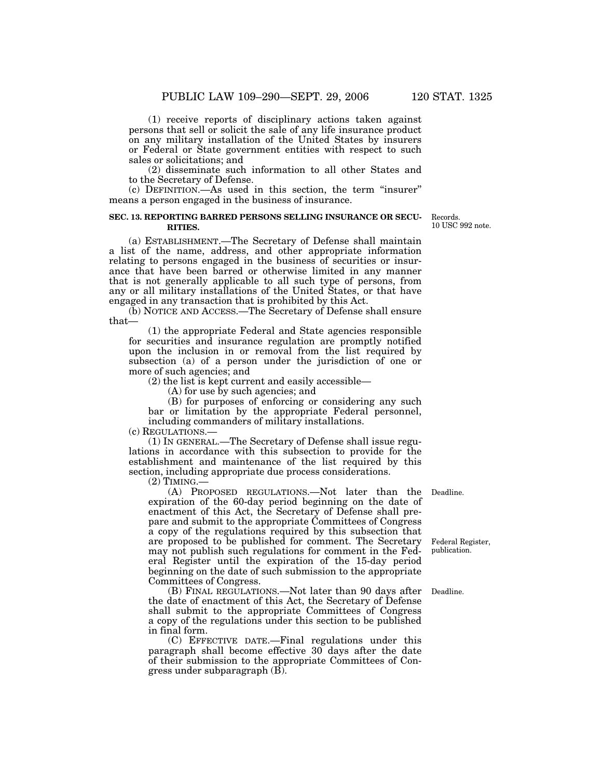(1) receive reports of disciplinary actions taken against persons that sell or solicit the sale of any life insurance product on any military installation of the United States by insurers or Federal or State government entities with respect to such sales or solicitations; and

(2) disseminate such information to all other States and to the Secretary of Defense.

(c) DEFINITION.—As used in this section, the term ''insurer'' means a person engaged in the business of insurance.

### **SEC. 13. REPORTING BARRED PERSONS SELLING INSURANCE OR SECU-RITIES.**

(a) ESTABLISHMENT.—The Secretary of Defense shall maintain a list of the name, address, and other appropriate information relating to persons engaged in the business of securities or insurance that have been barred or otherwise limited in any manner that is not generally applicable to all such type of persons, from any or all military installations of the United States, or that have engaged in any transaction that is prohibited by this Act.

(b) NOTICE AND ACCESS.—The Secretary of Defense shall ensure that—

(1) the appropriate Federal and State agencies responsible for securities and insurance regulation are promptly notified upon the inclusion in or removal from the list required by subsection (a) of a person under the jurisdiction of one or more of such agencies; and

(2) the list is kept current and easily accessible—

(A) for use by such agencies; and

(B) for purposes of enforcing or considering any such bar or limitation by the appropriate Federal personnel, including commanders of military installations.

(c) REGULATIONS.—

(1) IN GENERAL.—The Secretary of Defense shall issue regulations in accordance with this subsection to provide for the establishment and maintenance of the list required by this section, including appropriate due process considerations.

 $(2)$  TIMING.

(A) PROPOSED REGULATIONS.—Not later than the expiration of the 60-day period beginning on the date of enactment of this Act, the Secretary of Defense shall prepare and submit to the appropriate Committees of Congress a copy of the regulations required by this subsection that are proposed to be published for comment. The Secretary may not publish such regulations for comment in the Federal Register until the expiration of the 15-day period beginning on the date of such submission to the appropriate Committees of Congress.

(B) FINAL REGULATIONS.—Not later than 90 days after the date of enactment of this Act, the Secretary of Defense shall submit to the appropriate Committees of Congress a copy of the regulations under this section to be published in final form.

(C) EFFECTIVE DATE.—Final regulations under this paragraph shall become effective 30 days after the date of their submission to the appropriate Committees of Congress under subparagraph  $(\overline{B})$ .

Deadline.

Federal Register, publication.

Deadline.

Records. 10 USC 992 note.